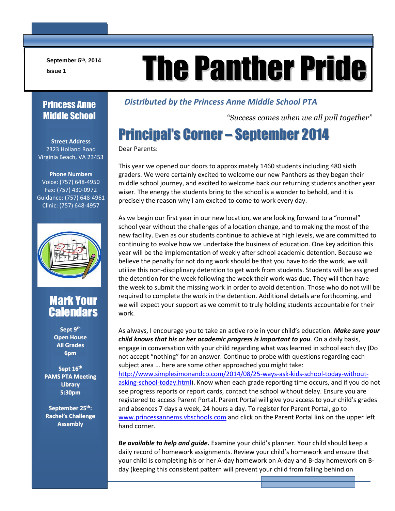**September 5th, 2014**

 $\mathsf \Gamma$ 

# September 5<sup>th</sup>, 2014<br>**Ine Panther Pride**

#### Princess Anne Middle School

**Street Address** 2323 Holland Road Virginia Beach, VA 23453

**Phone Numbers** Voice: (757) 648-4950 Fax: (757) 430-0972 Guidance: (757) 648-4961 Clinic: (757) 648-4957



#### Mark Your **Calendars**

**Sept 9 th Open House All Grades 6pm**

**Sept 16 th PAMS PTA Meeting Library 5:30pm**

**September 25 th : Rachel's Challenge Assembly**

#### *Distributed by the Princess Anne Middle School PTA*

*"Success comes when we all pull together"*

# Principal's Corner – September 2014

Dear Parents:

This year we opened our doors to approximately 1460 students including 480 sixth graders. We were certainly excited to welcome our new Panthers as they began their middle school journey, and excited to welcome back our returning students another year wiser. The energy the students bring to the school is a wonder to behold, and it is precisely the reason why I am excited to come to work every day.

As we begin our first year in our new location, we are looking forward to a "normal" school year without the challenges of a location change, and to making the most of the new facility. Even as our students continue to achieve at high levels, we are committed to continuing to evolve how we undertake the business of education. One key addition this year will be the implementation of weekly after school academic detention. Because we believe the penalty for not doing work should be that you have to do the work, we will utilize this non-disciplinary detention to get work from students. Students will be assigned the detention for the week following the week their work was due. They will then have the week to submit the missing work in order to avoid detention. Those who do not will be required to complete the work in the detention. Additional details are forthcoming, and we will expect your support as we commit to truly holding students accountable for their work.

As always, I encourage you to take an active role in your child's education*. Make sure your child knows that his or her academic progress is important to you.* On a daily basis, engage in conversation with your child regarding what was learned in school each day (Do not accept "nothing" for an answer. Continue to probe with questions regarding each subject area … here are some other approached you might take: [http://www.simplesimonandco.com/2014/08/25-ways-ask-kids-school-today-without](http://www.simplesimonandco.com/2014/08/25-ways-ask-kids-school-today-without-asking-school-today.html)[asking-school-today.html\)](http://www.simplesimonandco.com/2014/08/25-ways-ask-kids-school-today-without-asking-school-today.html). Know when each grade reporting time occurs, and if you do not see progress reports or report cards, contact the school without delay. Ensure you are registered to access Parent Portal. Parent Portal will give you access to your child's grades and absences 7 days a week, 24 hours a day. To register for Parent Portal, go to [www.princessannems.vbschools.com](http://www.princessannems.vbschools.com/) and click on the Parent Portal link on the upper left hand corner.

*Be available to help and guide***.** Examine your child's planner. Your child should keep a daily record of homework assignments. Review your child's homework and ensure that your child is completing his or her A-day homework on A-day and B-day homework on Bday (keeping this consistent pattern will prevent your child from falling behind on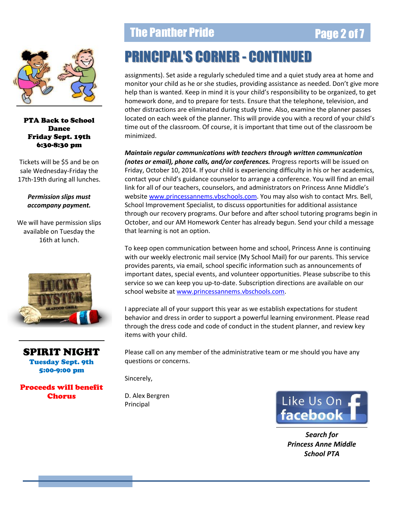

PTA Back to School Dance Friday Sept. 19th 6:30-8:30 pm

Tickets will be \$5 and be on sale Wednesday-Friday the 17th-19th during all lunches.

#### *Permission slips must accompany payment.*

We will have permission slips available on Tuesday the 16th at lunch.



SPIRIT NIGHT Tuesday Sept. 9th 5:00-9:00 pm

Proceeds will benefit Chorus

#### The Panther Pride **Page 2 of 7**

# PRINCIPAL'S CORNER - CONTINUED

assignments). Set aside a regularly scheduled time and a quiet study area at home and monitor your child as he or she studies, providing assistance as needed. Don't give more help than is wanted. Keep in mind it is your child's responsibility to be organized, to get homework done, and to prepare for tests. Ensure that the telephone, television, and other distractions are eliminated during study time. Also, examine the planner passes located on each week of the planner. This will provide you with a record of your child's time out of the classroom. Of course, it is important that time out of the classroom be minimized.

*Maintain regular communications with teachers through written communication (notes or email), phone calls, and/or conferences.* Progress reports will be issued on Friday, October 10, 2014. If your child is experiencing difficulty in his or her academics, contact your child's guidance counselor to arrange a conference. You will find an email link for all of our teachers, counselors, and administrators on Princess Anne Middle's website [www.princessannems.vbschools.com.](http://www.princessannems.vbschools.com/) You may also wish to contact Mrs. Bell, School Improvement Specialist, to discuss opportunities for additional assistance through our recovery programs. Our before and after school tutoring programs begin in October, and our AM Homework Center has already begun. Send your child a message that learning is not an option.

To keep open communication between home and school, Princess Anne is continuing with our weekly electronic mail service (My School Mail) for our parents. This service provides parents, via email, school specific information such as announcements of important dates, special events, and volunteer opportunities. Please subscribe to this service so we can keep you up-to-date. Subscription directions are available on our school website at [www.princessannems.vbschools.com.](http://www.princessannems.vbschools.com/)

I appreciate all of your support this year as we establish expectations for student behavior and dress in order to support a powerful learning environment. Please read through the dress code and code of conduct in the student planner, and review key items with your child.

Please call on any member of the administrative team or me should you have any questions or concerns.

Sincerely,

D. Alex Bergren Principal



*Search for Princess Anne Middle School PTA*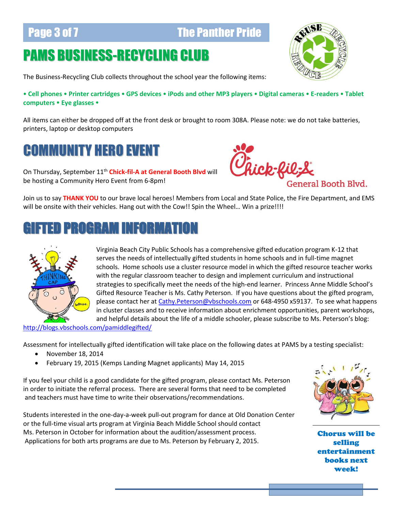#### **Page 3 of 7 The Panther Pride**

### PAMS BUSINESS-RECYCLING CLUB



The Business-Recycling Club collects throughout the school year the following items:

 **Cell phones Printer cartridges GPS devices iPods and other MP3 players Digital cameras E-readers Tablet computers • Eye glasses •** 

All items can either be dropped off at the front desk or brought to room 308A. Please note: we do not take batteries, printers, laptop or desktop computers

#### COMMUNITY HERO EVENT

On Thursday, September 11<sup>th</sup> Chick-fil-A at General Booth Blyd will be hosting a Community Hero Event from 6-8pm!



Join us to say **THANK YOU** to our brave local heroes! Members from Local and State Police, the Fire Department, and EMS will be onsite with their vehicles. Hang out with the Cow!! Spin the Wheel... Win a prize!!!!

#### GIFTED PROGRAM INFORMATION



Virginia Beach City Public Schools has a comprehensive gifted education program K-12 that serves the needs of intellectually gifted students in home schools and in full-time magnet schools. Home schools use a cluster resource model in which the gifted resource teacher works with the regular classroom teacher to design and implement curriculum and instructional strategies to specifically meet the needs of the high-end learner. Princess Anne Middle School's Gifted Resource Teacher is Ms. Cathy Peterson. If you have questions about the gifted program, please contact her a[t Cathy.Peterson@vbschools.com](mailto:Cathy.Peterson@vbschools.com) or 648-4950 x59137. To see what happens in cluster classes and to receive information about enrichment opportunities, parent workshops, and helpful details about the life of a middle schooler, please subscribe to Ms. Peterson's blog:

<http://blogs.vbschools.com/pamiddlegifted/>

Assessment for intellectually gifted identification will take place on the following dates at PAMS by a testing specialist:

- November 18, 2014
- February 19, 2015 (Kemps Landing Magnet applicants) May 14, 2015

If you feel your child is a good candidate for the gifted program, please contact Ms. Peterson in order to initiate the referral process. There are several forms that need to be completed and teachers must have time to write their observations/recommendations.

Students interested in the one-day-a-week pull-out program for dance at Old Donation Center or the full-time visual arts program at Virginia Beach Middle School should contact Ms. Peterson in October for information about the audition/assessment process. Applications for both arts programs are due to Ms. Peterson by February 2, 2015.



Chorus will be selling entertainment books next week!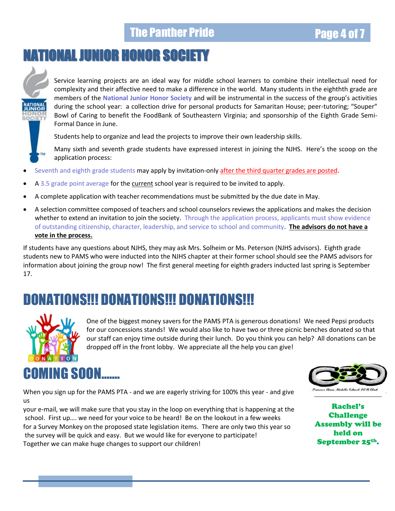#### The Panther Pride **Page 4 of 7** and 7 and 7 and 7 and 7 and 7 and 7 and 7 and 7 and 7 and 7 and 7 and 7 and 7 and 7 and 7 and 7 and 7 and 7 and 7 and 7 and 7 and 7 and 7 and 7 and 7 and 7 and 7 and 7 and 7 and 7 and 7 and

# NATIONALJUNIOR HONOR SOCIETY



Service learning projects are an ideal way for middle school learners to combine their intellectual need for complexity and their affective need to make a difference in the world. Many students in the eighthth grade are members of the **National Junior Honor Society** and will be instrumental in the success of the group's activities during the school year: a collection drive for personal products for Samaritan House; peer-tutoring; "Souper" Bowl of Caring to benefit the FoodBank of Southeastern Virginia; and sponsorship of the Eighth Grade Semi-Formal Dance in June.

Students help to organize and lead the projects to improve their own leadership skills.

Many sixth and seventh grade students have expressed interest in joining the NJHS. Here's the scoop on the application process:

- Seventh and eighth grade students may apply by invitation-only after the third quarter grades are posted.
- A 3.5 grade point average for the current school year is required to be invited to apply.
- A complete application with teacher recommendations must be submitted by the due date in May.
- A selection committee composed of teachers and school counselors reviews the applications and makes the decision whether to extend an invitation to join the society. Through the application process, applicants must show evidence of outstanding citizenship, character, leadership, and service to school and community. **The advisors do not have a vote in the process.**

If students have any questions about NJHS, they may ask Mrs. Solheim or Ms. Peterson (NJHS advisors). Eighth grade students new to PAMS who were inducted into the NJHS chapter at their former school should see the PAMS advisors for information about joining the group now! The first general meeting for eighth graders inducted last spring is September 17.

#### DONATIONS!!! DONATIONS!!! DONATIONS!!!



One of the biggest money savers for the PAMS PTA is generous donations! We need Pepsi products for our concessions stands! We would also like to have two or three picnic benches donated so that our staff can enjoy time outside during their lunch. Do you think you can help? All donations can be dropped off in the front lobby. We appreciate all the help you can give!

# COMING SOON…….



When you sign up for the PAMS PTA - and we are eagerly striving for 100% this year - and give us

your e-mail, we will make sure that you stay in the loop on everything that is happening at the school. First up…. we need for your voice to be heard! Be on the lookout in a few weeks for a Survey Monkey on the proposed state legislation items. There are only two this year so the survey will be quick and easy. But we would like for everyone to participate! Together we can make huge changes to support our children!

Rachel's Challenge Assembly will be held on September 25th.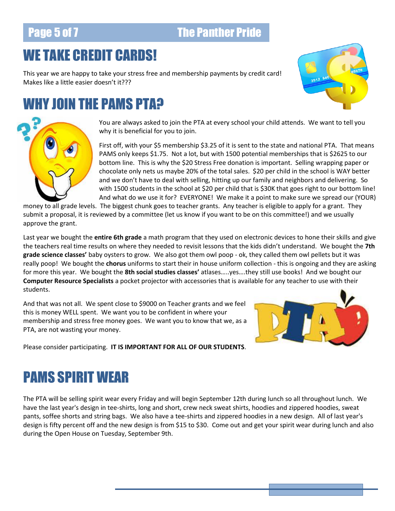#### **Page 5 of 7 The Panther Pride**

### WE TAKE CREDIT CARDS!

This year we are happy to take your stress free and membership payments by credit card! Makes like a little easier doesn't it???

#### WHY JOIN THE PAMS PTA?





You are always asked to join the PTA at every school your child attends. We want to tell you why it is beneficial for you to join.

First off, with your \$5 membership \$3.25 of it is sent to the state and national PTA. That means PAMS only keeps \$1.75. Not a lot, but with 1500 potential memberships that is \$2625 to our bottom line. This is why the \$20 Stress Free donation is important. Selling wrapping paper or chocolate only nets us maybe 20% of the total sales. \$20 per child in the school is WAY better and we don't have to deal with selling, hitting up our family and neighbors and delivering. So with 1500 students in the school at \$20 per child that is \$30K that goes right to our bottom line! And what do we use it for? EVERYONE! We make it a point to make sure we spread our (YOUR)

money to all grade levels. The biggest chunk goes to teacher grants. Any teacher is eligible to apply for a grant. They submit a proposal, it is reviewed by a committee (let us know if you want to be on this committee!) and we usually approve the grant.

Last year we bought the **entire 6th grade** a math program that they used on electronic devices to hone their skills and give the teachers real time results on where they needed to revisit lessons that the kids didn't understand. We bought the **7th grade science classes'** baby oysters to grow. We also got them owl poop - ok, they called them owl pellets but it was really poop! We bought the **chorus** uniforms to start their in house uniform collection - this is ongoing and they are asking for more this year. We bought the **8th social studies classes'** atlases…..yes….they still use books! And we bought our **Computer Resource Specialists** a pocket projector with accessories that is available for any teacher to use with their students.

And that was not all. We spent close to \$9000 on Teacher grants and we feel this is money WELL spent. We want you to be confident in where your membership and stress free money goes. We want you to know that we, as a PTA, are not wasting your money.



Please consider participating. **IT IS IMPORTANT FOR ALL OF OUR STUDENTS**.

## PAMS SPIRIT WEAR

The PTA will be selling spirit wear every Friday and will begin September 12th during lunch so all throughout lunch. We have the last year's design in tee-shirts, long and short, crew neck sweat shirts, hoodies and zippered hoodies, sweat pants, soffee shorts and string bags. We also have a tee-shirts and zippered hoodies in a new design. All of last year's design is fifty percent off and the new design is from \$15 to \$30. Come out and get your spirit wear during lunch and also during the Open House on Tuesday, September 9th.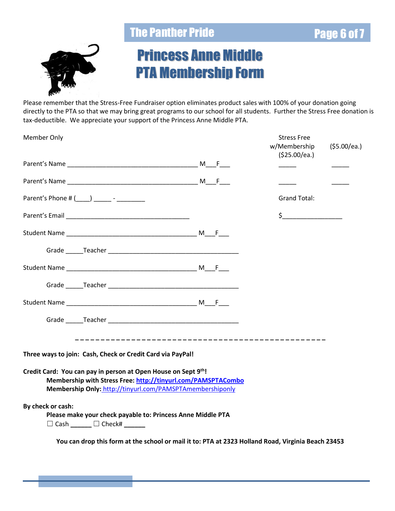#### The Panther Pride Page 6 of 7



### Princess Anne Middle PTA Membership Form

Please remember that the Stress-Free Fundraiser option eliminates product sales with 100% of your donation going directly to the PTA so that we may bring great programs to our school for all students. Further the Stress Free donation is tax-deductible. We appreciate your support of the Princess Anne Middle PTA.

| Member Only                                                                                                                                                                                                                   | <b>Stress Free</b><br>w/Membership<br>(\$25.00/ea.) | (\$5.00/ea.) |
|-------------------------------------------------------------------------------------------------------------------------------------------------------------------------------------------------------------------------------|-----------------------------------------------------|--------------|
|                                                                                                                                                                                                                               |                                                     |              |
|                                                                                                                                                                                                                               |                                                     |              |
| Parent's Phone # (____) ________ - _________                                                                                                                                                                                  | <b>Grand Total:</b>                                 |              |
|                                                                                                                                                                                                                               | $\frac{1}{2}$                                       |              |
|                                                                                                                                                                                                                               |                                                     |              |
|                                                                                                                                                                                                                               |                                                     |              |
|                                                                                                                                                                                                                               |                                                     |              |
|                                                                                                                                                                                                                               |                                                     |              |
|                                                                                                                                                                                                                               |                                                     |              |
| Grade Teacher Teacher and the contract of the contract of the contract of the contract of the contract of the contract of the contract of the contract of the contract of the contract of the contract of the contract of the |                                                     |              |
| Three ways to join: Cash, Check or Credit Card via PayPal!                                                                                                                                                                    |                                                     |              |
| Credit Card: You can pay in person at Open House on Sept 9th!<br>Membership with Stress Free: http://tinyurl.com/PAMSPTACombo<br>Membership Only: http://tinyurl.com/PAMSPTAmembershiponly                                    |                                                     |              |
| By check or cash:<br>Please make your check payable to: Princess Anne Middle PTA<br>$\Box$ Cash ______ $\Box$ Check# _____                                                                                                    |                                                     |              |

**You can drop this form at the school or mail it to: PTA at 2323 Holland Road, Virginia Beach 23453**